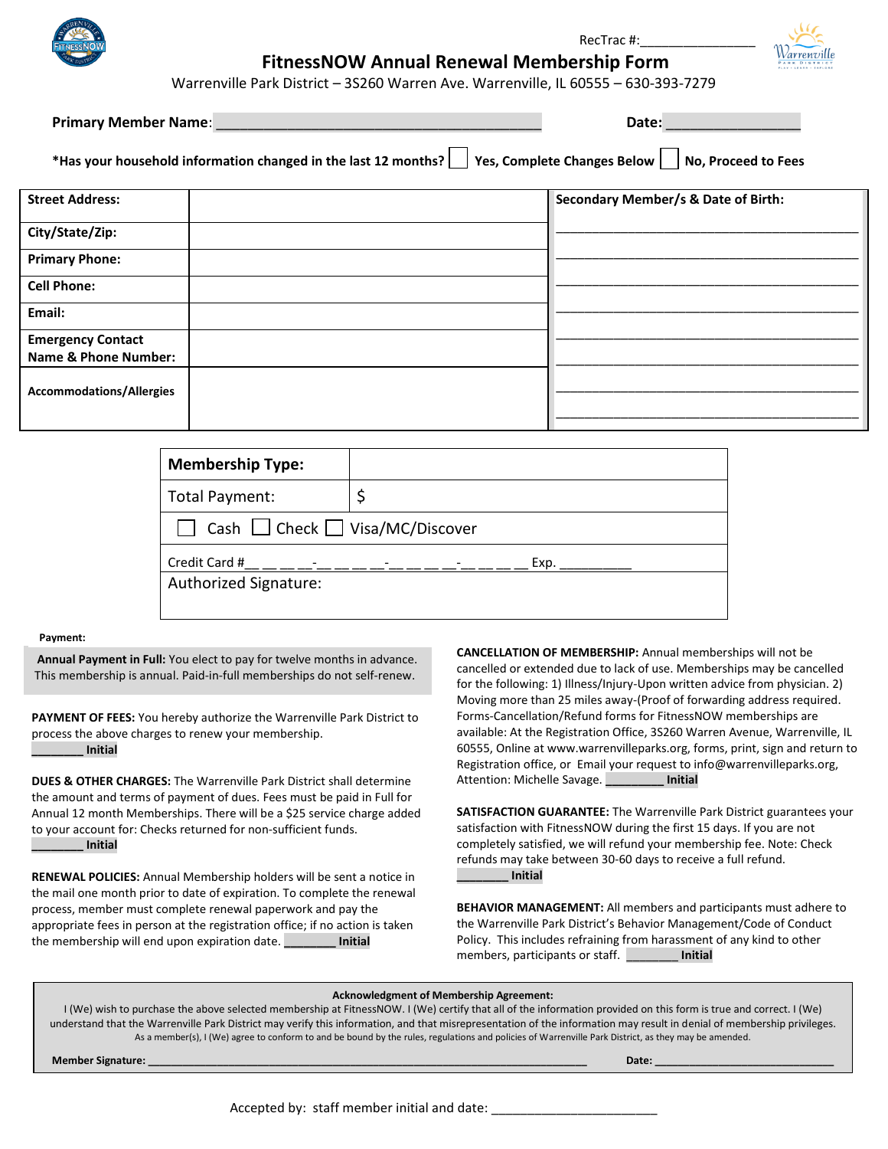

# RecTrac #:\_\_\_\_\_\_\_\_\_\_\_\_\_\_\_\_ **FitnessNOW Annual Renewal Membership Form**

Warrenville Park District – 3S260 Warren Ave. Warrenville, IL 60555 – 630-393-7279

**Primary Member Name**: \_\_\_\_\_\_\_\_\_\_\_\_\_\_\_\_\_\_\_\_\_\_\_\_\_\_\_\_\_\_\_\_\_\_\_\_\_\_\_\_\_ **Date:** \_\_\_\_\_\_\_\_\_\_\_\_\_\_\_\_\_

**\*Has your household information changed in the last 12 months? Yes, Complete Changes Below No, Proceed to Fees**

| <b>Street Address:</b>          | <b>Secondary Member/s &amp; Date of Birth:</b> |
|---------------------------------|------------------------------------------------|
| City/State/Zip:                 |                                                |
| <b>Primary Phone:</b>           |                                                |
| <b>Cell Phone:</b>              |                                                |
| Email:                          |                                                |
| <b>Emergency Contact</b>        |                                                |
| <b>Name &amp; Phone Number:</b> |                                                |
| <b>Accommodations/Allergies</b> |                                                |
|                                 |                                                |

| <b>Membership Type:</b>                   |      |  |  |
|-------------------------------------------|------|--|--|
| Total Payment:                            |      |  |  |
| Cash $\Box$ Check $\Box$ Visa/MC/Discover |      |  |  |
| Credit Card #                             | Exp. |  |  |
| Authorized Signature:                     |      |  |  |
|                                           |      |  |  |

#### **Payment:**

**Annual Payment in Full:** You elect to pay for twelve months in advance. This membership is annual. Paid-in-full memberships do not self-renew.

**PAYMENT OF FEES:** You hereby authorize the Warrenville Park District to process the above charges to renew your membership. **\_\_\_\_\_\_\_\_ Initial**

**DUES & OTHER CHARGES:** The Warrenville Park District shall determine the amount and terms of payment of dues. Fees must be paid in Full for Annual 12 month Memberships. There will be a \$25 service charge added to your account for: Checks returned for non-sufficient funds. **\_\_\_\_\_\_\_\_ Initial**

**RENEWAL POLICIES:** Annual Membership holders will be sent a notice in the mail one month prior to date of expiration. To complete the renewal process, member must complete renewal paperwork and pay the appropriate fees in person at the registration office; if no action is taken the membership will end upon expiration date. **\_\_\_\_\_\_\_\_ Initial**

**CANCELLATION OF MEMBERSHIP:** Annual memberships will not be cancelled or extended due to lack of use. Memberships may be cancelled for the following: 1) Illness/Injury-Upon written advice from physician. 2) Moving more than 25 miles away-(Proof of forwarding address required. Forms-Cancellation/Refund forms for FitnessNOW memberships are available: At the Registration Office, 3S260 Warren Avenue, Warrenville, IL 60555, Online at www.warrenvilleparks.org, forms, print, sign and return to Registration office, or Email your request to info@warrenvilleparks.org, Attention: Michelle Savage. **\_\_\_\_\_\_\_\_\_ Initial**

**SATISFACTION GUARANTEE:** The Warrenville Park District guarantees your satisfaction with FitnessNOW during the first 15 days. If you are not completely satisfied, we will refund your membership fee. Note: Check refunds may take between 30-60 days to receive a full refund. **\_\_\_\_\_\_\_\_ Initial**

**BEHAVIOR MANAGEMENT:** All members and participants must adhere to the Warrenville Park District's Behavior Management/Code of Conduct Policy. This includes refraining from harassment of any kind to other members, participants or staff. \_\_\_\_\_\_\_\_ **Initial**

#### **Acknowledgment of Membership Agreement:**

I (We) wish to purchase the above selected membership at FitnessNOW. I (We) certify that all of the information provided on this form is true and correct. I (We) understand that the Warrenville Park District may verify this information, and that misrepresentation of the information may result in denial of membership privileges. As a member(s), I (We) agree to conform to and be bound by the rules, regulations and policies of Warrenville Park District, as they may be amended.

**Member Signature: \_\_\_\_\_\_\_\_\_\_\_\_\_\_\_\_\_\_\_\_\_\_\_\_\_\_\_\_\_\_\_\_\_\_\_\_\_\_\_\_\_\_\_\_\_\_\_\_\_\_\_\_\_\_\_\_\_\_\_\_\_\_\_\_\_\_\_\_\_\_\_\_\_\_\_\_ Date: \_\_\_\_\_\_\_\_\_\_\_\_\_\_\_\_\_\_\_\_\_\_\_\_\_\_\_\_\_\_\_**